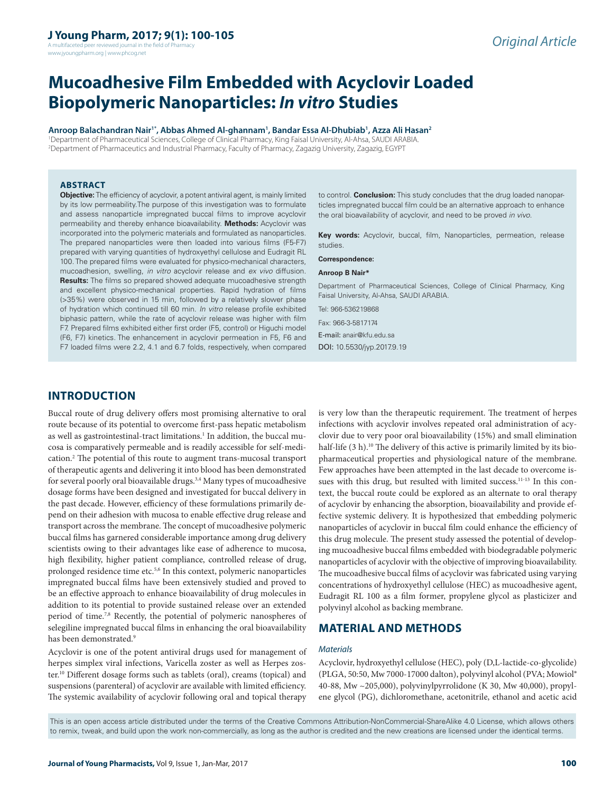A multifaceted peer reviewed journal in the field of Pharma www.jyoungpharm.org | www.phcog.net

# **Mucoadhesive Film Embedded with Acyclovir Loaded Biopolymeric Nanoparticles:** *In vitro* **Studies**

**Anroop Balachandran Nair1\*, Abbas Ahmed Al-ghannam1 , Bandar Essa Al-Dhubiab1 , Azza Ali Hasan2**

1 Department of Pharmaceutical Sciences, College of Clinical Pharmacy, King Faisal University, Al-Ahsa, SAUDI ARABIA. 2 Department of Pharmaceutics and Industrial Pharmacy, Faculty of Pharmacy, Zagazig University, Zagazig, EGYPT

#### **ABSTRACT**

**Objective:** The efficiency of acyclovir, a potent antiviral agent, is mainly limited by its low permeability.The purpose of this investigation was to formulate and assess nanoparticle impregnated buccal films to improve acyclovir permeability and thereby enhance bioavailability. **Methods:** Acyclovir was incorporated into the polymeric materials and formulated as nanoparticles. The prepared nanoparticles were then loaded into various films (F5-F7) prepared with varying quantities of hydroxyethyl cellulose and Eudragit RL 100. The prepared films were evaluated for physico-mechanical characters, mucoadhesion, swelling, *in vitro* acyclovir release and *ex vivo* diffusion. **Results:** The films so prepared showed adequate mucoadhesive strength and excellent physico-mechanical properties. Rapid hydration of films (>35%) were observed in 15 min, followed by a relatively slower phase of hydration which continued till 60 min. *In vitro* release profile exhibited biphasic pattern, while the rate of acyclovir release was higher with film F7. Prepared films exhibited either first order (F5, control) or Higuchi model (F6, F7) kinetics. The enhancement in acyclovir permeation in F5, F6 and F7 loaded films were 2.2, 4.1 and 6.7 folds, respectively, when compared

to control. **Conclusion:** This study concludes that the drug loaded nanoparticles impregnated buccal film could be an alternative approach to enhance the oral bioavailability of acyclovir, and need to be proved *in vivo*.

**Key words:** Acyclovir, buccal, film, Nanoparticles, permeation, release studies.

**Correspondence:**

#### **Anroop B Nair\***

Department of Pharmaceutical Sciences, College of Clinical Pharmacy, King Faisal University, Al-Ahsa, SAUDI ARABIA.

Tel: 966-536219868

Fax: 966-3-5817174 E-mail: anair@kfu.edu.sa DOI: 10.5530/jyp.2017.9.19

# **INTRODUCTION**

Buccal route of drug delivery offers most promising alternative to oral route because of its potential to overcome first-pass hepatic metabolism as well as gastrointestinal-tract limitations.<sup>1</sup> In addition, the buccal mucosa is comparatively permeable and is readily accessible for self-medication.2 The potential of this route to augment trans-mucosal transport of therapeutic agents and delivering it into blood has been demonstrated for several poorly oral bioavailable drugs.<sup>3,4</sup> Many types of mucoadhesive dosage forms have been designed and investigated for buccal delivery in the past decade. However, efficiency of these formulations primarily depend on their adhesion with mucosa to enable effective drug release and transport across the membrane. The concept of mucoadhesive polymeric buccal films has garnered considerable importance among drug delivery scientists owing to their advantages like ease of adherence to mucosa, high flexibility, higher patient compliance, controlled release of drug, prolonged residence time etc.<sup>5,6</sup> In this context, polymeric nanoparticles impregnated buccal films have been extensively studied and proved to be an effective approach to enhance bioavailability of drug molecules in addition to its potential to provide sustained release over an extended period of time.7,8 Recently, the potential of polymeric nanospheres of selegiline impregnated buccal films in enhancing the oral bioavailability has been demonstrated.<sup>9</sup>

Acyclovir is one of the potent antiviral drugs used for management of herpes simplex viral infections, Varicella zoster as well as Herpes zoster.10 Different dosage forms such as tablets (oral), creams (topical) and suspensions (parenteral) of acyclovir are available with limited efficiency. The systemic availability of acyclovir following oral and topical therapy

is very low than the therapeutic requirement. The treatment of herpes infections with acyclovir involves repeated oral administration of acyclovir due to very poor oral bioavailability (15%) and small elimination half-life (3 h).<sup>10</sup> The delivery of this active is primarily limited by its biopharmaceutical properties and physiological nature of the membrane. Few approaches have been attempted in the last decade to overcome issues with this drug, but resulted with limited success.<sup>11-13</sup> In this context, the buccal route could be explored as an alternate to oral therapy of acyclovir by enhancing the absorption, bioavailability and provide effective systemic delivery. It is hypothesized that embedding polymeric nanoparticles of acyclovir in buccal film could enhance the efficiency of this drug molecule. The present study assessed the potential of developing mucoadhesive buccal films embedded with biodegradable polymeric nanoparticles of acyclovir with the objective of improving bioavailability. The mucoadhesive buccal films of acyclovir was fabricated using varying concentrations of hydroxyethyl cellulose (HEC) as mucoadhesive agent, Eudragit RL 100 as a film former, propylene glycol as plasticizer and polyvinyl alcohol as backing membrane.

# **MATERIAL AND METHODS**

#### *Materials*

Acyclovir, hydroxyethyl cellulose (HEC), poly (D,L-lactide-co-glycolide) (PLGA, 50:50, Mw 7000-17000 dalton), polyvinyl alcohol (PVA; Mowiol® 40-88, Mw ~205,000), polyvinylpyrrolidone (K 30, Mw 40,000), propylene glycol (PG), dichloromethane, acetonitrile, ethanol and acetic acid

This is an open access article distributed under the terms of the Creative Commons Attribution-NonCommercial-ShareAlike 4.0 License, which allows others to remix, tweak, and build upon the work non-commercially, as long as the author is credited and the new creations are licensed under the identical terms.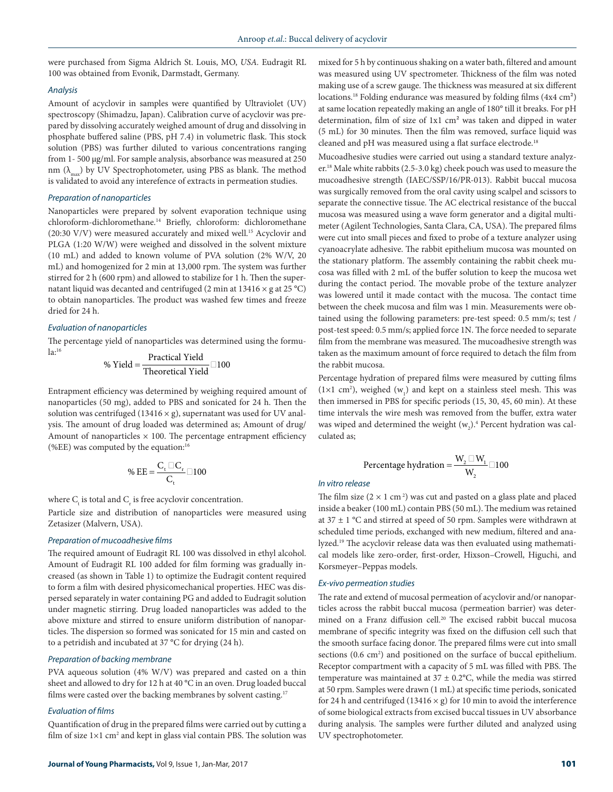were purchased from Sigma Aldrich St. Louis, MO, *USA.* Eudragit RL 100 was obtained from Evonik, Darmstadt, Germany.

#### *Analysis*

Amount of acyclovir in samples were quantified by Ultraviolet (UV) spectroscopy (Shimadzu, Japan). Calibration curve of acyclovir was prepared by dissolving accurately weighed amount of drug and dissolving in phosphate buffered saline (PBS, pH 7.4) in volumetric flask. This stock solution (PBS) was further diluted to various concentrations ranging from 1- 500 µg/ml. For sample analysis, absorbance was measured at 250 nm  $(\lambda_{\text{max}})$  by UV Spectrophotometer, using PBS as blank. The method is validated to avoid any interefence of extracts in permeation studies.

#### *Preparation of nanoparticles*

Nanoparticles were prepared by solvent evaporation technique using chloroform-dichloromethane.14 Briefly, chloroform: dichloromethane (20:30 V/V) were measured accurately and mixed well.15 Acyclovir and PLGA (1:20 W/W) were weighed and dissolved in the solvent mixture (10 mL) and added to known volume of PVA solution (2% W/V, 20 mL) and homogenized for 2 min at 13,000 rpm. The system was further stirred for 2 h (600 rpm) and allowed to stabilize for 1 h. Then the supernatant liquid was decanted and centrifuged (2 min at  $13416 \times g$  at  $25^{\circ}$ C) to obtain nanoparticles. The product was washed few times and freeze dried for 24 h.

#### *Evaluation of nanoparticles*

The percentage yield of nanoparticles was determined using the formula:16  $\cdots$  Practical Y

$$
\% \text{ Yield} = \frac{\text{Practical Yield}}{\text{Theoretical Yield}} \quad 100
$$

Entrapment efficiency was determined by weighing required amount of nanoparticles (50 mg), added to PBS and sonicated for 24 h. Then the solution was centrifuged (13416  $\times$  g), supernatant was used for UV analysis. The amount of drug loaded was determined as; Amount of drug/ Amount of nanoparticles  $\times$  100. The percentage entrapment efficiency (%EE) was computed by the equation:<sup>16</sup>

$$
\% EE = \frac{C_{t} \quad C_{r}}{C_{t}} \quad 100
$$

where  $C_{\text{t}}$  is total and  $C_{\text{r}}$  is free acyclovir concentration.

Particle size and distribution of nanoparticles were measured using Zetasizer (Malvern, USA).

#### *Preparation of mucoadhesive films*

The required amount of Eudragit RL 100 was dissolved in ethyl alcohol. Amount of Eudragit RL 100 added for film forming was gradually increased (as shown in Table 1) to optimize the Eudragit content required to form a film with desired physicomechanical properties. HEC was dispersed separately in water containing PG and added to Eudragit solution under magnetic stirring. Drug loaded nanoparticles was added to the above mixture and stirred to ensure uniform distribution of nanoparticles. The dispersion so formed was sonicated for 15 min and casted on to a petridish and incubated at 37 °C for drying (24 h).

#### *Preparation of backing membrane*

PVA aqueous solution (4% W/V) was prepared and casted on a thin sheet and allowed to dry for 12 h at 40 °C in an oven. Drug loaded buccal films were casted over the backing membranes by solvent casting.<sup>17</sup>

#### *Evaluation of films*

Quantification of drug in the prepared films were carried out by cutting a film of size  $1\times1$  cm<sup>2</sup> and kept in glass vial contain PBS. The solution was mixed for 5 h by continuous shaking on a water bath, filtered and amount was measured using UV spectrometer. Thickness of the film was noted making use of a screw gauge. The thickness was measured at six different locations.<sup>18</sup> Folding endurance was measured by folding films (4x4 cm<sup>2</sup>) at same location repeatedly making an angle of 180° till it breaks. For pH determination, film of size of 1х1 cm² was taken and dipped in water (5 mL) for 30 minutes. Then the film was removed, surface liquid was cleaned and pH was measured using a flat surface electrode.<sup>18</sup>

Mucoadhesive studies were carried out using a standard texture analyzer.18 Male white rabbits (2.5-3.0 kg) cheek pouch was used to measure the mucoadhesive strength (IAEC/SSP/16/PR-013). Rabbit buccal mucosa was surgically removed from the oral cavity using scalpel and scissors to separate the connective tissue. The AC electrical resistance of the buccal mucosa was measured using a wave form generator and a digital multimeter (Agilent Technologies, Santa Clara, CA, USA). The prepared films were cut into small pieces and fixed to probe of a texture analyzer using cyanoacrylate adhesive. The rabbit epithelium mucosa was mounted on the stationary platform. The assembly containing the rabbit cheek mucosa was filled with 2 mL of the buffer solution to keep the mucosa wet during the contact period. The movable probe of the texture analyzer was lowered until it made contact with the mucosa. The contact time between the cheek mucosa and film was 1 min. Measurements were obtained using the following parameters: pre-test speed: 0.5 mm/s; test / post-test speed: 0.5 mm/s; applied force 1N. The force needed to separate film from the membrane was measured. The mucoadhesive strength was taken as the maximum amount of force required to detach the film from the rabbit mucosa.

Percentage hydration of prepared films were measured by cutting films  $(1\times1$  cm<sup>2</sup>), weighed  $(w_1)$  and kept on a stainless steel mesh. This was then immersed in PBS for specific periods (15, 30, 45, 60 min). At these time intervals the wire mesh was removed from the buffer, extra water was wiped and determined the weight  $(w_2)^2$  Percent hydration was calculated as;

Percentage hydration = 
$$
\frac{W_2 - W_1}{W_2}
$$
 100

#### *In vitro release*

The film size  $(2 \times 1 \text{ cm}^2)$  was cut and pasted on a glass plate and placed inside a beaker (100 mL) contain PBS (50 mL). The medium was retained at  $37 \pm 1$  °C and stirred at speed of 50 rpm. Samples were withdrawn at scheduled time periods, exchanged with new medium, filtered and analyzed.19 The acyclovir release data was then evaluated using mathematical models like zero-order, first-order, Hixson–Crowell, Higuchi, and Korsmeyer–Peppas models.

#### *Ex-vivo permeation studies*

The rate and extend of mucosal permeation of acyclovir and/or nanoparticles across the rabbit buccal mucosa (permeation barrier) was determined on a Franz diffusion cell.<sup>20</sup> The excised rabbit buccal mucosa membrane of specific integrity was fixed on the diffusion cell such that the smooth surface facing donor. The prepared films were cut into small sections (0.6 cm<sup>2</sup>) and positioned on the surface of buccal epithelium. Receptor compartment with a capacity of 5 mL was filled with PBS. The temperature was maintained at  $37 \pm 0.2$ °C, while the media was stirred at 50 rpm. Samples were drawn (1 mL) at specific time periods, sonicated for 24 h and centrifuged (13416  $\times$  g) for 10 min to avoid the interference of some biological extracts from excised buccal tissues in UV absorbance during analysis. The samples were further diluted and analyzed using UV spectrophotometer.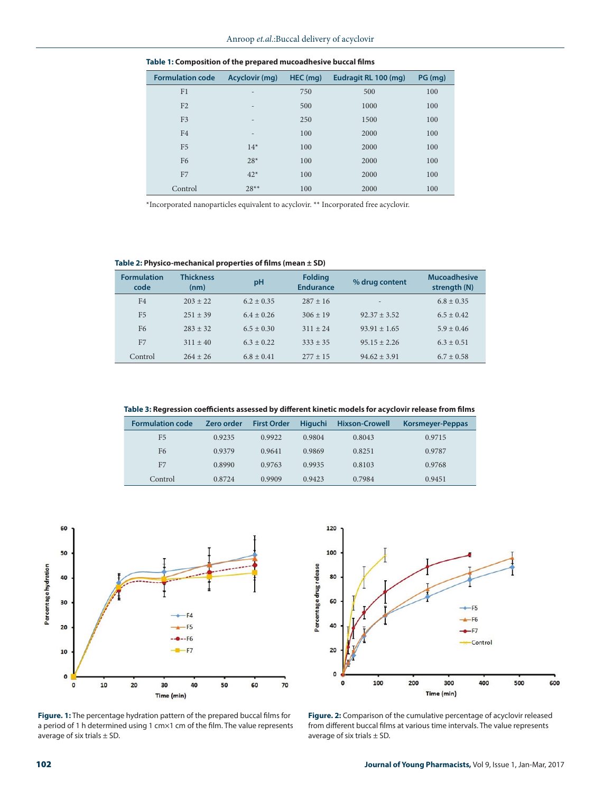| <b>Formulation code</b> | Acyclovir (mg)           | $HEC$ (mg) | Eudragit RL 100 (mg) | PG (mg) |
|-------------------------|--------------------------|------------|----------------------|---------|
| F1                      | $\overline{\phantom{0}}$ | 750        | 500                  | 100     |
| F <sub>2</sub>          | $\overline{\phantom{0}}$ | 500        | 1000                 | 100     |
| F <sub>3</sub>          | $\overline{\phantom{a}}$ | 250        | 1500                 | 100     |
| F <sub>4</sub>          | $\qquad \qquad$          | 100        | 2000                 | 100     |
| F <sub>5</sub>          | $14*$                    | 100        | 2000                 | 100     |
| F <sub>6</sub>          | $28*$                    | 100        | 2000                 | 100     |
| F7                      | $42*$                    | 100        | 2000                 | 100     |
| Control                 | $28**$                   | 100        | 2000                 | 100     |

**Table 1: Composition of the prepared mucoadhesive buccal films**

\*Incorporated nanoparticles equivalent to acyclovir. \*\* Incorporated free acyclovir.

**Table 2: Physico-mechanical properties of films (mean ± SD)**

| <b>Formulation</b><br>code | <b>Thickness</b><br>(nm) | pH             | <b>Folding</b><br><b>Endurance</b> | % drug content   | <b>Mucoadhesive</b><br>strength (N) |
|----------------------------|--------------------------|----------------|------------------------------------|------------------|-------------------------------------|
| F <sub>4</sub>             | $203 + 22$               | $6.2 + 0.35$   | $287 + 16$                         | $\overline{a}$   | $6.8 + 0.35$                        |
| F <sub>5</sub>             | $251 + 39$               | $6.4 + 0.26$   | $306 \pm 19$                       | $92.37 + 3.52$   | $6.5 + 0.42$                        |
| F <sub>6</sub>             | $283 + 32$               | $6.5 + 0.30$   | $311 + 24$                         | $93.91 + 1.65$   | $5.9 + 0.46$                        |
| F <sub>7</sub>             | $311 \pm 40$             | $6.3 + 0.22$   | $333 + 35$                         | $95.15 + 2.26$   | $6.3 + 0.51$                        |
| Control                    | $264 + 26$               | $6.8 \pm 0.41$ | $277 + 15$                         | $94.62 \pm 3.91$ | $6.7 + 0.58$                        |

**Table 3: Regression coefficients assessed by different kinetic models for acyclovir release from films**

| <b>Formulation code</b> | Zero order | <b>First Order</b> | <b>Higuchi</b> | <b>Hixson-Crowell</b> | Korsmeyer-Peppas |
|-------------------------|------------|--------------------|----------------|-----------------------|------------------|
| F <sub>5</sub>          | 0.9235     | 0.9922             | 0.9804         | 0.8043                | 0.9715           |
| F <sub>6</sub>          | 0.9379     | 0.9641             | 0.9869         | 0.8251                | 0.9787           |
| F7                      | 0.8990     | 0.9763             | 0.9935         | 0.8103                | 0.9768           |
| Control                 | 0.8724     | 0.9909             | 0.9423         | 0.7984                | 0.9451           |



**Figure. 1:** The percentage hydration pattern of the prepared buccal films for a period of 1 h determined using 1 cm×1 cm of the film. The value represents average of six trials  $\pm$  SD.



**Figure. 2:** Comparison of the cumulative percentage of acyclovir released from different buccal films at various time intervals. The value represents average of six trials  $\pm$  SD.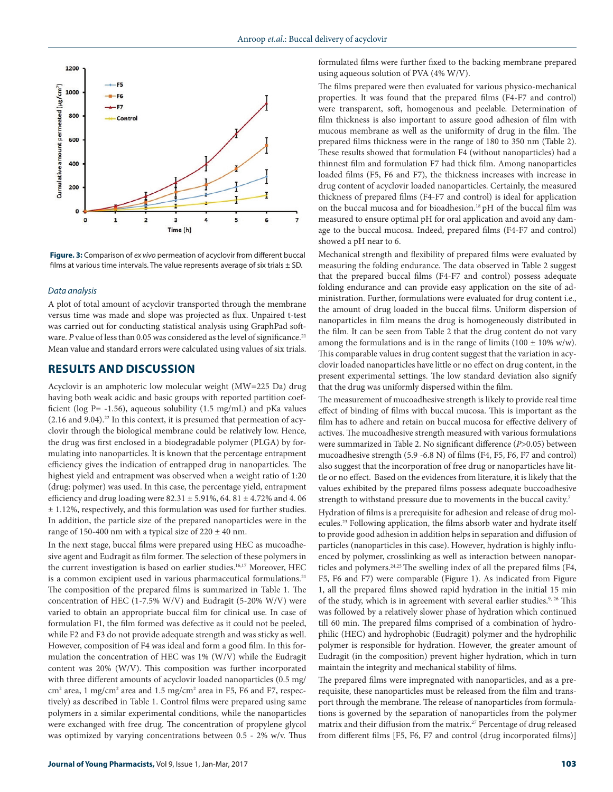

**Figure. 3:** Comparison of *ex vivo* permeation of acyclovir from different buccal films at various time intervals. The value represents average of six trials  $\pm$  SD.

#### *Data analysis*

A plot of total amount of acyclovir transported through the membrane versus time was made and slope was projected as flux. Unpaired t-test was carried out for conducting statistical analysis using GraphPad software. *P* value of less than 0.05 was considered as the level of significance.<sup>21</sup> Mean value and standard errors were calculated using values of six trials.

# **RESULTS AND DISCUSSION**

Acyclovir is an amphoteric low molecular weight (MW=225 Da) drug having both weak acidic and basic groups with reported partition coefficient (log  $P = -1.56$ ), aqueous solubility (1.5 mg/mL) and pKa values  $(2.16$  and  $9.04)$ .<sup>22</sup> In this context, it is presumed that permeation of acyclovir through the biological membrane could be relatively low. Hence, the drug was first enclosed in a biodegradable polymer (PLGA) by formulating into nanoparticles. It is known that the percentage entrapment efficiency gives the indication of entrapped drug in nanoparticles. The highest yield and entrapment was observed when a weight ratio of 1:20 (drug: polymer) was used. In this case, the percentage yield, entrapment efficiency and drug loading were  $82.31 \pm 5.91\%$ , 64.  $81 \pm 4.72\%$  and 4. 06  $±$  1.12%, respectively, and this formulation was used for further studies. In addition, the particle size of the prepared nanoparticles were in the range of 150-400 nm with a typical size of  $220 \pm 40$  nm.

In the next stage, buccal films were prepared using HEC as mucoadhesive agent and Eudragit as film former. The selection of these polymers in the current investigation is based on earlier studies.<sup>16,17</sup> Moreover, HEC is a common excipient used in various pharmaceutical formulations.<sup>21</sup> The composition of the prepared films is summarized in Table 1. The concentration of HEC (1-7.5% W/V) and Eudragit (5-20% W/V) were varied to obtain an appropriate buccal film for clinical use. In case of formulation F1, the film formed was defective as it could not be peeled, while F2 and F3 do not provide adequate strength and was sticky as well. However, composition of F4 was ideal and form a good film. In this formulation the concentration of HEC was 1% (W/V) while the Eudragit content was 20% (W/V). This composition was further incorporated with three different amounts of acyclovir loaded nanoparticles (0.5 mg/ cm<sup>2</sup> area, 1 mg/cm<sup>2</sup> area and 1.5 mg/cm<sup>2</sup> area in F5, F6 and F7, respectively) as described in Table 1. Control films were prepared using same polymers in a similar experimental conditions, while the nanoparticles were exchanged with free drug. The concentration of propylene glycol was optimized by varying concentrations between 0.5 - 2% w/v. Thus

formulated films were further fixed to the backing membrane prepared using aqueous solution of PVA (4% W/V).

The films prepared were then evaluated for various physico-mechanical properties. It was found that the prepared films (F4-F7 and control) were transparent, soft, homogenous and peelable. Determination of film thickness is also important to assure good adhesion of film with mucous membrane as well as the uniformity of drug in the film. The prepared films thickness were in the range of 180 to 350 nm (Table 2). These results showed that formulation F4 (without nanoparticles) had a thinnest film and formulation F7 had thick film. Among nanoparticles loaded films (F5, F6 and F7), the thickness increases with increase in drug content of acyclovir loaded nanoparticles. Certainly, the measured thickness of prepared films (F4-F7 and control) is ideal for application on the buccal mucosa and for bioadhesion.18 pH of the buccal film was measured to ensure optimal pH for oral application and avoid any damage to the buccal mucosa. Indeed, prepared films (F4-F7 and control) showed a pH near to 6.

Mechanical strength and flexibility of prepared films were evaluated by measuring the folding endurance. The data observed in Table 2 suggest that the prepared buccal films (F4-F7 and control) possess adequate folding endurance and can provide easy application on the site of administration. Further, formulations were evaluated for drug content i.e., the amount of drug loaded in the buccal films. Uniform dispersion of nanoparticles in film means the drug is homogeneously distributed in the film. It can be seen from Table 2 that the drug content do not vary among the formulations and is in the range of limits (100  $\pm$  10% w/w). This comparable values in drug content suggest that the variation in acyclovir loaded nanoparticles have little or no effect on drug content, in the present experimental settings. The low standard deviation also signify that the drug was uniformly dispersed within the film.

The measurement of mucoadhesive strength is likely to provide real time effect of binding of films with buccal mucosa. This is important as the film has to adhere and retain on buccal mucosa for effective delivery of actives. The mucoadhesive strength measured with various formulations were summarized in Table 2. No significant difference (*P*>0.05) between mucoadhesive strength (5.9 -6.8 N) of films (F4, F5, F6, F7 and control) also suggest that the incorporation of free drug or nanoparticles have little or no effect. Based on the evidences from literature, it is likely that the values exhibited by the prepared films possess adequate buccoadhesive strength to withstand pressure due to movements in the buccal cavity.7

Hydration of films is a prerequisite for adhesion and release of drug molecules.23 Following application, the films absorb water and hydrate itself to provide good adhesion in addition helps in separation and diffusion of particles (nanoparticles in this case). However, hydration is highly influenced by polymer, crosslinking as well as interaction between nanoparticles and polymers.<sup>24,25</sup> The swelling index of all the prepared films (F4, F5, F6 and F7) were comparable (Figure 1). As indicated from Figure 1, all the prepared films showed rapid hydration in the initial 15 min of the study, which is in agreement with several earlier studies.<sup>9, 26</sup> This was followed by a relatively slower phase of hydration which continued till 60 min. The prepared films comprised of a combination of hydrophilic (HEC) and hydrophobic (Eudragit) polymer and the hydrophilic polymer is responsible for hydration. However, the greater amount of Eudragit (in the composition) prevent higher hydration, which in turn maintain the integrity and mechanical stability of films.

The prepared films were impregnated with nanoparticles, and as a prerequisite, these nanoparticles must be released from the film and transport through the membrane. The release of nanoparticles from formulations is governed by the separation of nanoparticles from the polymer matrix and their diffusion from the matrix.<sup>27</sup> Percentage of drug released from different films [F5, F6, F7 and control (drug incorporated films)]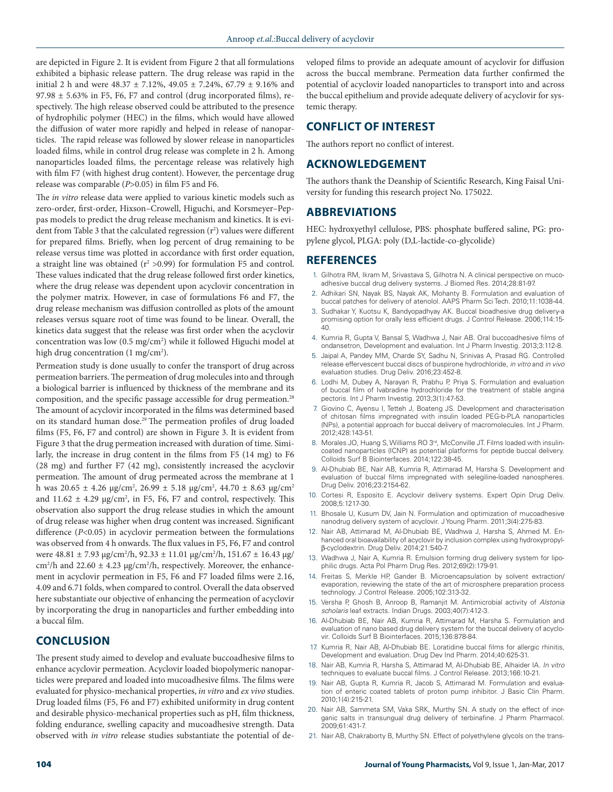are depicted in Figure 2. It is evident from Figure 2 that all formulations exhibited a biphasic release pattern. The drug release was rapid in the initial 2 h and were  $48.37 \pm 7.12$ %,  $49.05 \pm 7.24$ %,  $67.79 \pm 9.16$ % and  $97.98 \pm 5.63\%$  in F5, F6, F7 and control (drug incorporated films), respectively. The high release observed could be attributed to the presence of hydrophilic polymer (HEC) in the films, which would have allowed the diffusion of water more rapidly and helped in release of nanoparticles. The rapid release was followed by slower release in nanoparticles loaded films, while in control drug release was complete in 2 h. Among nanoparticles loaded films, the percentage release was relatively high with film F7 (with highest drug content). However, the percentage drug release was comparable (*P*>0.05) in film F5 and F6.

The *in vitro* release data were applied to various kinetic models such as zero-order, first-order, Hixson–Crowell, Higuchi, and Korsmeyer–Peppas models to predict the drug release mechanism and kinetics. It is evident from Table 3 that the calculated regression  $(r^2)$  values were different for prepared films. Briefly, when log percent of drug remaining to be release versus time was plotted in accordance with first order equation, a straight line was obtained  $(r^2 > 0.99)$  for formulation F5 and control. These values indicated that the drug release followed first order kinetics, where the drug release was dependent upon acyclovir concentration in the polymer matrix. However, in case of formulations F6 and F7, the drug release mechanism was diffusion controlled as plots of the amount releases versus square root of time was found to be linear. Overall, the kinetics data suggest that the release was first order when the acyclovir concentration was low (0.5 mg/cm<sup>2</sup>) while it followed Higuchi model at high drug concentration (1 mg/cm<sup>2</sup>).

Permeation study is done usually to confer the transport of drug across permeation barriers. The permeation of drug molecules into and through a biological barrier is influenced by thickness of the membrane and its composition, and the specific passage accessible for drug permeation.<sup>28</sup> The amount of acyclovir incorporated in the films was determined based on its standard human dose.<sup>29</sup> The permeation profiles of drug loaded films (F5, F6, F7 and control) are shown in Figure 3. It is evident from Figure 3 that the drug permeation increased with duration of time. Similarly, the increase in drug content in the films from F5 (14 mg) to F6 (28 mg) and further F7 (42 mg), consistently increased the acyclovir permeation. The amount of drug permeated across the membrane at 1 h was  $20.65 \pm 4.26$  µg/cm<sup>2</sup>,  $26.99 \pm 5.18$  µg/cm<sup>2</sup>,  $44.70 \pm 8.63$  µg/cm<sup>2</sup> and  $11.62 \pm 4.29$   $\mu$ g/cm<sup>2</sup>, in F5, F6, F7 and control, respectively. This observation also support the drug release studies in which the amount of drug release was higher when drug content was increased. Significant difference (*P*<0.05) in acyclovir permeation between the formulations was observed from 4 h onwards. The flux values in F5, F6, F7 and control were 48.81 ± 7.93 µg/cm2 /h, 92.33 ± 11.01 µg/cm2 /h, 151.67 ± 16.43 µg/ cm<sup>2</sup>/h and 22.60  $\pm$  4.23 µg/cm<sup>2</sup>/h, respectively. Moreover, the enhancement in acyclovir permeation in F5, F6 and F7 loaded films were 2.16, 4.09 and 6.71 folds, when compared to control. Overall the data observed here substantiate our objective of enhancing the permeation of acyclovir by incorporating the drug in nanoparticles and further embedding into a buccal film.

# **CONCLUSION**

The present study aimed to develop and evaluate buccoadhesive films to enhance acyclovir permeation. Acyclovir loaded biopolymeric nanoparticles were prepared and loaded into mucoadhesive films. The films were evaluated for physico-mechanical properties, *in vitro* and *ex vivo* studies. Drug loaded films (F5, F6 and F7) exhibited uniformity in drug content and desirable physico-mechanical properties such as pH, film thickness, folding endurance, swelling capacity and mucoadhesive strength. Data observed with *in vitro* release studies substantiate the potential of developed films to provide an adequate amount of acyclovir for diffusion across the buccal membrane. Permeation data further confirmed the potential of acyclovir loaded nanoparticles to transport into and across the buccal epithelium and provide adequate delivery of acyclovir for systemic therapy.

## **CONFLICT OF INTEREST**

The authors report no conflict of interest.

## **ACKNOWLEDGEMENT**

The authors thank the Deanship of Scientific Research, King Faisal University for funding this research project No. 175022.

# **ABBREVIATIONS**

HEC: hydroxyethyl cellulose, PBS: phosphate buffered saline, PG: propylene glycol, PLGA: poly (D,L-lactide-co-glycolide)

## **REFERENCES**

- 1. Gilhotra RM, Ikram M, Srivastava S, Gilhotra N. A clinical perspective on mucoadhesive buccal drug delivery systems. J Biomed Res. 2014;28:81-97.
- 2. Adhikari SN, Nayak BS, Nayak AK, Mohanty B. Formulation and evaluation of buccal patches for delivery of atenolol. AAPS Pharm Sci Tech. 2010;11:1038-44.
- 3. Sudhakar Y, Kuotsu K, Bandyopadhyay AK. Buccal bioadhesive drug delivery-a promising option for orally less efficient drugs. J Control Release. 2006;114:15-40.
- 4. Kumria R, Gupta V, Bansal S, Wadhwa J, Nair AB. Oral buccoadhesive films of ondansetron, Development and evaluation. Int J Pharm Investig. 2013;3:112-8.
- 5. Jaipal A, Pandey MM, Charde SY, Sadhu N, Srinivas A, Prasad RG. Controlled release effervescent buccal discs of buspirone hydrochloride, *in vitro* and *in vivo* evaluation studies. Drug Deliv. 2016;23:452-8.
- 6. Lodhi M, Dubey A, Narayan R, Prabhu P, Priya S. Formulation and evaluation of buccal film of Ivabradine hydrochloride for the treatment of stable angina pectoris. Int J Pharm Investig. 2013;3(1):47-53.
- 7. Giovino C, Ayensu I, Tetteh J, Boateng JS. Development and characterisation of chitosan films impregnated with insulin loaded PEG-b-PLA nanoparticles (NPs), a potential approach for buccal delivery of macromolecules. Int J Pharm. 2012;428:143-51.
- 8. Morales JO, Huang S, Williams RO 3<sup>rd</sup>, McConville JT. Films loaded with insulincoated nanoparticles (ICNP) as potential platforms for peptide buccal delivery. Colloids Surf B Biointerfaces. 2014;122:38-45.
- 9. Al-Dhubiab BE, Nair AB, Kumria R, Attimarad M, Harsha S. Development and evaluation of buccal films impregnated with selegiline-loaded nanospheres. Drug Deliv. 2016;23:2154-62.
- 10. Cortesi R, Esposito E. Acyclovir delivery systems. Expert Opin Drug Deliv. 2008;5:1217-30.
- 11. Bhosale U, Kusum DV, Jain N. Formulation and optimization of mucoadhesive nanodrug delivery system of acyclovir. J Young Pharm. 2011;3(4):275-83.
- 12. Nair AB, Attimarad M, Al-Dhubiab BE, Wadhwa J, Harsha S, Ahmed M. Enhanced oral bioavailability of acyclovir by inclusion complex using hydroxypropylβ-cyclodextrin. Drug Deliv. 2014;21:540-7.
- 13. Wadhwa J, Nair A, Kumria R. Emulsion forming drug delivery system for lipophilic drugs. Acta Pol Pharm Drug Res. 2012;69(2):179-91.
- 14. Freitas S, Merkle HP, Gander B. Microencapsulation by solvent extraction/ evaporation, reviewing the state of the art of microsphere preparation process technology. J Control Release. 2005;102:313-32.
- 15. Versha P, Ghosh B, Anroop B, Ramanjit M. Antimicrobial activity of *Alstonia scholaris* leaf extracts. Indian Drugs. 2003;40(7):412-3.
- 16. Al-Dhubiab BE, Nair AB, Kumria R, Attimarad M, Harsha S. Formulation and evaluation of nano based drug delivery system for the buccal delivery of acyclovir. Colloids Surf B Biointerfaces. 2015;136:878-84.
- 17. Kumria R, Nair AB, Al-Dhubiab BE. Loratidine buccal films for allergic rhinitis, Development and evaluation. Drug Dev Ind Pharm. 2014;40:625-31.
- 18. Nair AB, Kumria R, Harsha S, Attimarad M, Al-Dhubiab BE, Alhaider IA. *In vitro*  techniques to evaluate buccal films. J Control Release. 2013;166:10-21.
- 19. Nair AB, Gupta R, Kumria R, Jacob S, Attimarad M. Formulation and evaluation of enteric coated tablets of proton pump inhibitor. J Basic Clin Pharm. 2010;1(4):215-21.
- 20. Nair AB, Sammeta SM, Vaka SRK, Murthy SN. A study on the effect of inorganic salts in transungual drug delivery of terbinafine. J Pharm Pharmacol. 2009;61:431-7.
- 21. Nair AB, Chakraborty B, Murthy SN. Effect of polyethylene glycols on the trans-